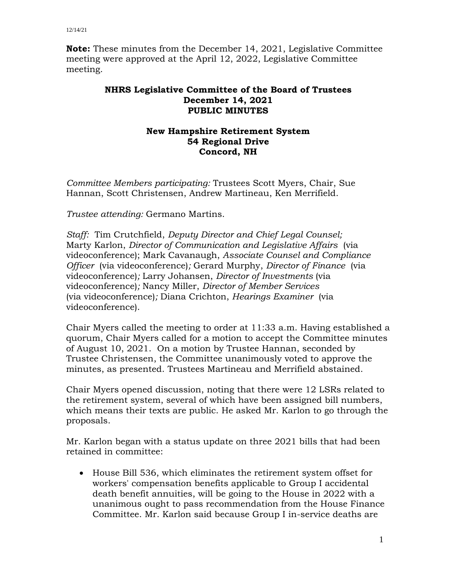**Note:** These minutes from the December 14, 2021, Legislative Committee meeting were approved at the April 12, 2022, Legislative Committee meeting.

## **NHRS Legislative Committee of the Board of Trustees December 14, 2021 PUBLIC MINUTES**

## **New Hampshire Retirement System 54 Regional Drive Concord, NH**

*Committee Members participating:* Trustees Scott Myers, Chair, Sue Hannan, Scott Christensen, Andrew Martineau, Ken Merrifield.

*Trustee attending:* Germano Martins.

*Staff:* Tim Crutchfield, *Deputy Director and Chief Legal Counsel;* Marty Karlon, *Director of Communication and Legislative Affairs* (via videoconference); Mark Cavanaugh, *Associate Counsel and Compliance Officer* (via videoconference)*;* Gerard Murphy, *Director of Finance* (via videoconference)*;* Larry Johansen, *Director of Investments* (via videoconference)*;* Nancy Miller, *Director of Member Services* (via videoconference)*;* Diana Crichton, *Hearings Examiner* (via videoconference).

Chair Myers called the meeting to order at 11:33 a.m. Having established a quorum, Chair Myers called for a motion to accept the Committee minutes of August 10, 2021. On a motion by Trustee Hannan, seconded by Trustee Christensen, the Committee unanimously voted to approve the minutes, as presented. Trustees Martineau and Merrifield abstained.

Chair Myers opened discussion, noting that there were 12 LSRs related to the retirement system, several of which have been assigned bill numbers, which means their texts are public. He asked Mr. Karlon to go through the proposals.

Mr. Karlon began with a status update on three 2021 bills that had been retained in committee:

 House Bill 536, which eliminates the retirement system offset for workers' compensation benefits applicable to Group I accidental death benefit annuities, will be going to the House in 2022 with a unanimous ought to pass recommendation from the House Finance Committee. Mr. Karlon said because Group I in-service deaths are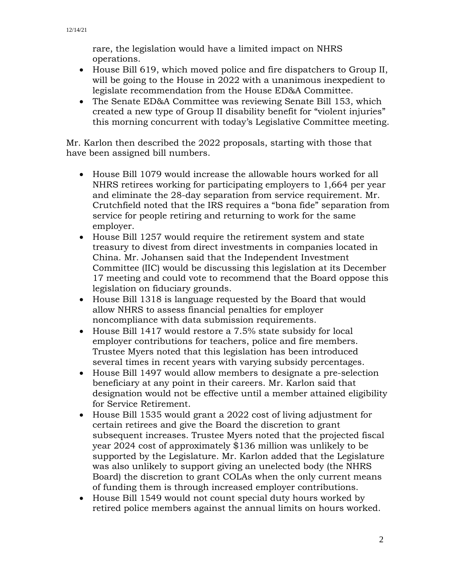rare, the legislation would have a limited impact on NHRS operations.

- House Bill 619, which moved police and fire dispatchers to Group II, will be going to the House in 2022 with a unanimous inexpedient to legislate recommendation from the House ED&A Committee.
- The Senate ED&A Committee was reviewing Senate Bill 153, which created a new type of Group II disability benefit for "violent injuries" this morning concurrent with today's Legislative Committee meeting.

Mr. Karlon then described the 2022 proposals, starting with those that have been assigned bill numbers.

- House Bill 1079 would increase the allowable hours worked for all NHRS retirees working for participating employers to 1,664 per year and eliminate the 28-day separation from service requirement. Mr. Crutchfield noted that the IRS requires a "bona fide" separation from service for people retiring and returning to work for the same employer.
- House Bill 1257 would require the retirement system and state treasury to divest from direct investments in companies located in China. Mr. Johansen said that the Independent Investment Committee (IIC) would be discussing this legislation at its December 17 meeting and could vote to recommend that the Board oppose this legislation on fiduciary grounds.
- House Bill 1318 is language requested by the Board that would allow NHRS to assess financial penalties for employer noncompliance with data submission requirements.
- House Bill 1417 would restore a 7.5% state subsidy for local employer contributions for teachers, police and fire members. Trustee Myers noted that this legislation has been introduced several times in recent years with varying subsidy percentages.
- House Bill 1497 would allow members to designate a pre-selection beneficiary at any point in their careers. Mr. Karlon said that designation would not be effective until a member attained eligibility for Service Retirement.
- House Bill 1535 would grant a 2022 cost of living adjustment for certain retirees and give the Board the discretion to grant subsequent increases. Trustee Myers noted that the projected fiscal year 2024 cost of approximately \$136 million was unlikely to be supported by the Legislature. Mr. Karlon added that the Legislature was also unlikely to support giving an unelected body (the NHRS Board) the discretion to grant COLAs when the only current means of funding them is through increased employer contributions.
- House Bill 1549 would not count special duty hours worked by retired police members against the annual limits on hours worked.